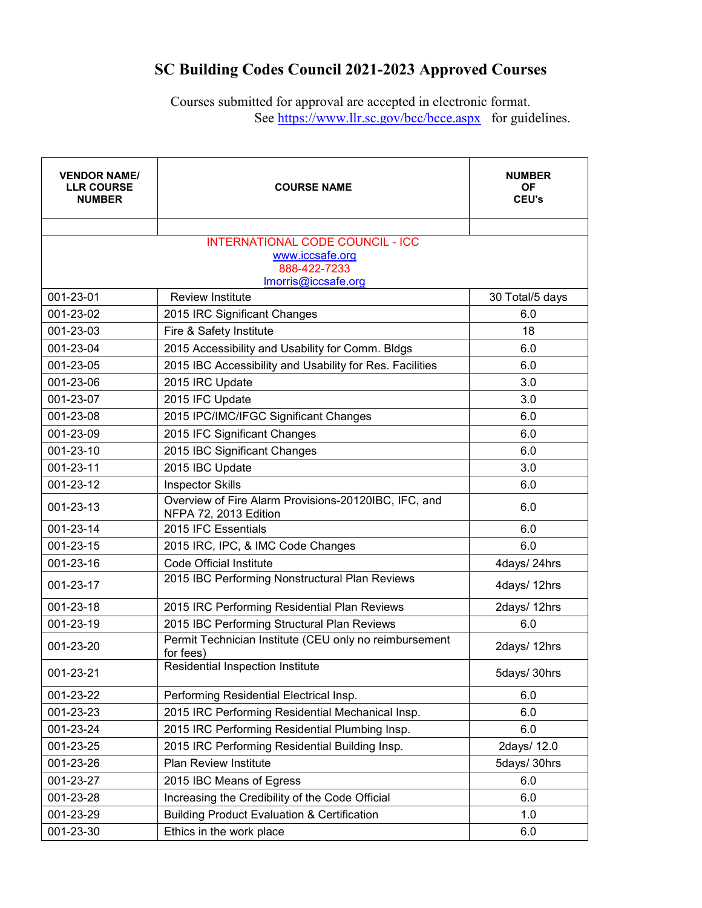## **SC Building Codes Council 2021-2023 Approved Courses**

Courses submitted for approval are accepted in electronic format. See<https://www.llr.sc.gov/bcc/bcce.aspx>for guidelines.

| <b>VENDOR NAME/</b><br><b>LLR COURSE</b><br><b>NUMBER</b> | <b>COURSE NAME</b>                                                            | <b>NUMBER</b><br><b>OF</b><br><b>CEU's</b> |
|-----------------------------------------------------------|-------------------------------------------------------------------------------|--------------------------------------------|
|                                                           |                                                                               |                                            |
|                                                           | <b>INTERNATIONAL CODE COUNCIL - ICC</b><br>www.iccsafe.org                    |                                            |
|                                                           | 888-422-7233                                                                  |                                            |
|                                                           | Imorris@iccsafe.org                                                           |                                            |
| 001-23-01                                                 | <b>Review Institute</b>                                                       | 30 Total/5 days                            |
| 001-23-02                                                 | 2015 IRC Significant Changes                                                  | 6.0                                        |
| 001-23-03                                                 | Fire & Safety Institute                                                       | 18                                         |
| 001-23-04                                                 | 2015 Accessibility and Usability for Comm. Bldgs                              | 6.0                                        |
| 001-23-05                                                 | 2015 IBC Accessibility and Usability for Res. Facilities                      | 6.0                                        |
| 001-23-06                                                 | 2015 IRC Update                                                               | 3.0                                        |
| 001-23-07                                                 | 2015 IFC Update                                                               | 3.0                                        |
| 001-23-08                                                 | 2015 IPC/IMC/IFGC Significant Changes                                         | 6.0                                        |
| 001-23-09                                                 | 2015 IFC Significant Changes                                                  | 6.0                                        |
| 001-23-10                                                 | 2015 IBC Significant Changes                                                  | 6.0                                        |
| 001-23-11                                                 | 2015 IBC Update                                                               | 3.0                                        |
| 001-23-12                                                 | <b>Inspector Skills</b>                                                       | 6.0                                        |
| 001-23-13                                                 | Overview of Fire Alarm Provisions-20120IBC, IFC, and<br>NFPA 72, 2013 Edition | 6.0                                        |
| 001-23-14                                                 | 2015 IFC Essentials                                                           | 6.0                                        |
| 001-23-15                                                 | 2015 IRC, IPC, & IMC Code Changes                                             | 6.0                                        |
| 001-23-16                                                 | Code Official Institute                                                       | 4days/ 24hrs                               |
| 001-23-17                                                 | 2015 IBC Performing Nonstructural Plan Reviews                                | 4days/ 12hrs                               |
| 001-23-18                                                 | 2015 IRC Performing Residential Plan Reviews                                  | 2days/ 12hrs                               |
| 001-23-19                                                 | 2015 IBC Performing Structural Plan Reviews                                   | 6.0                                        |
| 001-23-20                                                 | Permit Technician Institute (CEU only no reimbursement<br>for fees)           | 2days/ 12hrs                               |
| 001-23-21                                                 | Residential Inspection Institute                                              | 5days/ 30hrs                               |
| 001-23-22                                                 | Performing Residential Electrical Insp.                                       | 6.0                                        |
| 001-23-23                                                 | 2015 IRC Performing Residential Mechanical Insp.                              | 6.0                                        |
| 001-23-24                                                 | 2015 IRC Performing Residential Plumbing Insp.                                | 6.0                                        |
| 001-23-25                                                 | 2015 IRC Performing Residential Building Insp.                                | 2days/ 12.0                                |
| 001-23-26                                                 | Plan Review Institute                                                         | 5days/ 30hrs                               |
| 001-23-27                                                 | 2015 IBC Means of Egress                                                      | 6.0                                        |
| 001-23-28                                                 | Increasing the Credibility of the Code Official                               | 6.0                                        |
| 001-23-29                                                 | <b>Building Product Evaluation &amp; Certification</b>                        | 1.0                                        |
| 001-23-30                                                 | Ethics in the work place                                                      | 6.0                                        |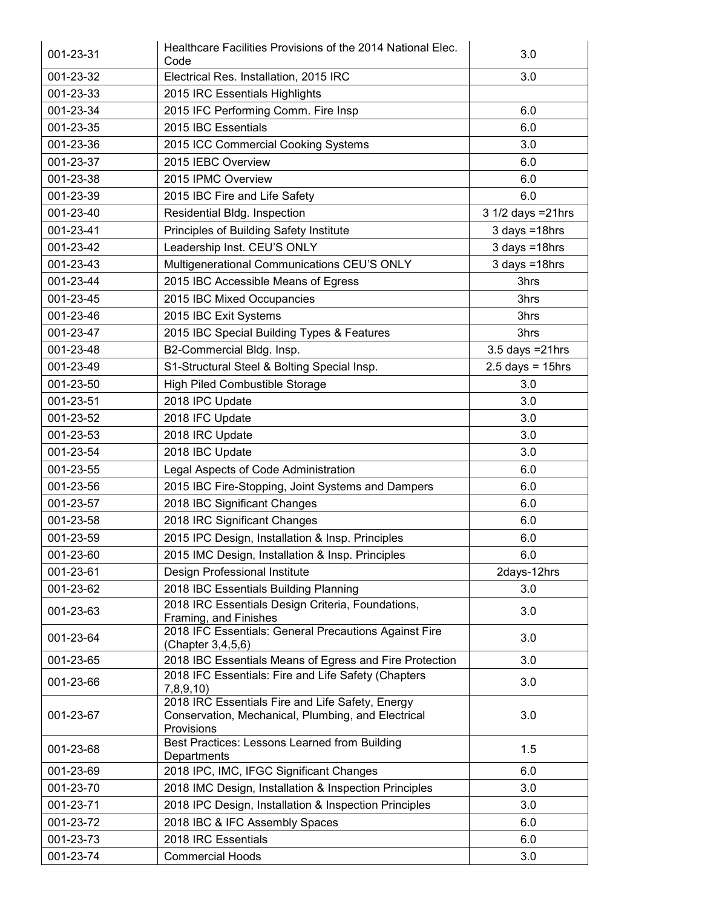| 001-23-31 | Healthcare Facilities Provisions of the 2014 National Elec.<br>Code                                                  | 3.0                   |
|-----------|----------------------------------------------------------------------------------------------------------------------|-----------------------|
| 001-23-32 | Electrical Res. Installation, 2015 IRC                                                                               | 3.0                   |
| 001-23-33 | 2015 IRC Essentials Highlights                                                                                       |                       |
| 001-23-34 | 2015 IFC Performing Comm. Fire Insp                                                                                  | 6.0                   |
| 001-23-35 | 2015 IBC Essentials                                                                                                  | 6.0                   |
| 001-23-36 | 2015 ICC Commercial Cooking Systems                                                                                  | 3.0                   |
| 001-23-37 | 2015 IEBC Overview                                                                                                   | 6.0                   |
| 001-23-38 | 2015 IPMC Overview                                                                                                   | 6.0                   |
| 001-23-39 | 2015 IBC Fire and Life Safety                                                                                        | 6.0                   |
| 001-23-40 | Residential Bldg. Inspection                                                                                         | 3 1/2 days = 21hrs    |
| 001-23-41 | Principles of Building Safety Institute                                                                              | $3$ days = 18hrs      |
| 001-23-42 | Leadership Inst. CEU'S ONLY                                                                                          | $3$ days = 18hrs      |
| 001-23-43 | Multigenerational Communications CEU'S ONLY                                                                          | 3 days =18hrs         |
| 001-23-44 | 2015 IBC Accessible Means of Egress                                                                                  | 3hrs                  |
| 001-23-45 | 2015 IBC Mixed Occupancies                                                                                           | 3hrs                  |
| 001-23-46 | 2015 IBC Exit Systems                                                                                                | 3hrs                  |
| 001-23-47 | 2015 IBC Special Building Types & Features                                                                           | 3hrs                  |
| 001-23-48 | B2-Commercial Bldg. Insp.                                                                                            | $3.5$ days = $21$ hrs |
| 001-23-49 | S1-Structural Steel & Bolting Special Insp.                                                                          | $2.5$ days = 15hrs    |
| 001-23-50 |                                                                                                                      |                       |
|           | <b>High Piled Combustible Storage</b>                                                                                | 3.0                   |
| 001-23-51 | 2018 IPC Update                                                                                                      | 3.0                   |
| 001-23-52 | 2018 IFC Update                                                                                                      | 3.0                   |
| 001-23-53 | 2018 IRC Update                                                                                                      | 3.0                   |
| 001-23-54 | 2018 IBC Update                                                                                                      | 3.0                   |
| 001-23-55 | Legal Aspects of Code Administration                                                                                 | 6.0                   |
| 001-23-56 | 2015 IBC Fire-Stopping, Joint Systems and Dampers                                                                    | 6.0                   |
| 001-23-57 | 2018 IBC Significant Changes                                                                                         | 6.0                   |
| 001-23-58 | 2018 IRC Significant Changes                                                                                         | 6.0                   |
| 001-23-59 | 2015 IPC Design, Installation & Insp. Principles                                                                     | 6.0                   |
| 001-23-60 | 2015 IMC Design, Installation & Insp. Principles                                                                     | 6.0                   |
| 001-23-61 | Design Professional Institute                                                                                        | 2days-12hrs           |
| 001-23-62 | 2018 IBC Essentials Building Planning                                                                                | 3.0                   |
| 001-23-63 | 2018 IRC Essentials Design Criteria, Foundations,<br>Framing, and Finishes                                           | 3.0                   |
| 001-23-64 | 2018 IFC Essentials: General Precautions Against Fire<br>(Chapter 3,4,5,6)                                           | 3.0                   |
| 001-23-65 | 2018 IBC Essentials Means of Egress and Fire Protection                                                              | 3.0                   |
| 001-23-66 | 2018 IFC Essentials: Fire and Life Safety (Chapters<br>7,8,9,10                                                      | 3.0                   |
| 001-23-67 | 2018 IRC Essentials Fire and Life Safety, Energy<br>Conservation, Mechanical, Plumbing, and Electrical<br>Provisions | 3.0                   |
| 001-23-68 | Best Practices: Lessons Learned from Building<br>Departments                                                         | 1.5                   |
| 001-23-69 | 2018 IPC, IMC, IFGC Significant Changes                                                                              | 6.0                   |
| 001-23-70 | 2018 IMC Design, Installation & Inspection Principles                                                                | 3.0                   |
| 001-23-71 | 2018 IPC Design, Installation & Inspection Principles                                                                | 3.0                   |
| 001-23-72 | 2018 IBC & IFC Assembly Spaces                                                                                       | 6.0                   |
| 001-23-73 | 2018 IRC Essentials                                                                                                  | 6.0                   |
| 001-23-74 | <b>Commercial Hoods</b>                                                                                              | 3.0                   |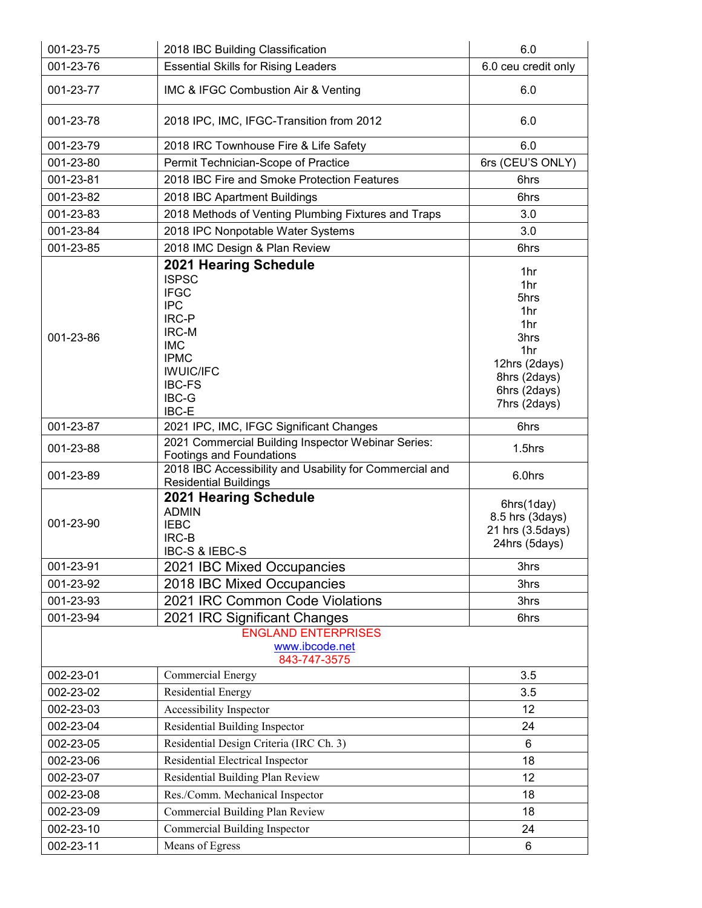| 001-23-75 | 2018 IBC Building Classification                                                                                                                                                       | 6.0                                                                                                              |
|-----------|----------------------------------------------------------------------------------------------------------------------------------------------------------------------------------------|------------------------------------------------------------------------------------------------------------------|
| 001-23-76 | <b>Essential Skills for Rising Leaders</b>                                                                                                                                             | 6.0 ceu credit only                                                                                              |
| 001-23-77 | IMC & IFGC Combustion Air & Venting                                                                                                                                                    | 6.0                                                                                                              |
| 001-23-78 | 2018 IPC, IMC, IFGC-Transition from 2012                                                                                                                                               | 6.0                                                                                                              |
| 001-23-79 | 2018 IRC Townhouse Fire & Life Safety                                                                                                                                                  | 6.0                                                                                                              |
| 001-23-80 | Permit Technician-Scope of Practice                                                                                                                                                    | 6rs (CEU'S ONLY)                                                                                                 |
| 001-23-81 | 2018 IBC Fire and Smoke Protection Features                                                                                                                                            | 6hrs                                                                                                             |
| 001-23-82 | 2018 IBC Apartment Buildings                                                                                                                                                           | 6hrs                                                                                                             |
| 001-23-83 | 2018 Methods of Venting Plumbing Fixtures and Traps                                                                                                                                    | 3.0                                                                                                              |
| 001-23-84 | 2018 IPC Nonpotable Water Systems                                                                                                                                                      | 3.0                                                                                                              |
| 001-23-85 | 2018 IMC Design & Plan Review                                                                                                                                                          | 6hrs                                                                                                             |
| 001-23-86 | 2021 Hearing Schedule<br><b>ISPSC</b><br><b>IFGC</b><br><b>IPC</b><br><b>IRC-P</b><br>IRC-M<br><b>IMC</b><br><b>IPMC</b><br><b>IWUIC/IFC</b><br><b>IBC-FS</b><br><b>IBC-G</b><br>IBC-E | 1hr<br>1hr<br>5hrs<br>1hr<br>1hr<br>3hrs<br>1hr<br>12hrs (2days)<br>8hrs (2days)<br>6hrs (2days)<br>7hrs (2days) |
| 001-23-87 | 2021 IPC, IMC, IFGC Significant Changes                                                                                                                                                | 6hrs                                                                                                             |
| 001-23-88 | 2021 Commercial Building Inspector Webinar Series:<br><b>Footings and Foundations</b>                                                                                                  | 1.5hrs                                                                                                           |
| 001-23-89 | 2018 IBC Accessibility and Usability for Commercial and<br><b>Residential Buildings</b>                                                                                                | 6.0hrs                                                                                                           |
| 001-23-90 | 2021 Hearing Schedule<br><b>ADMIN</b><br><b>IEBC</b><br><b>IRC-B</b><br>IBC-S & IEBC-S                                                                                                 | 6hrs(1day)<br>8.5 hrs (3days)<br>21 hrs (3.5days)<br>24hrs (5days)                                               |
| 001-23-91 | 2021 IBC Mixed Occupancies                                                                                                                                                             | 3hrs                                                                                                             |
| 001-23-92 | 2018 IBC Mixed Occupancies                                                                                                                                                             | 3hrs                                                                                                             |
| 001-23-93 | 2021 IRC Common Code Violations                                                                                                                                                        | 3hrs                                                                                                             |
| 001-23-94 | 2021 IRC Significant Changes                                                                                                                                                           | 6hrs                                                                                                             |
|           | <b>ENGLAND ENTERPRISES</b><br>www.ibcode.net<br>843-747-3575                                                                                                                           |                                                                                                                  |
| 002-23-01 | Commercial Energy                                                                                                                                                                      | 3.5                                                                                                              |
| 002-23-02 | <b>Residential Energy</b>                                                                                                                                                              | 3.5                                                                                                              |
| 002-23-03 | Accessibility Inspector                                                                                                                                                                | 12                                                                                                               |
| 002-23-04 | Residential Building Inspector                                                                                                                                                         | 24                                                                                                               |
| 002-23-05 | Residential Design Criteria (IRC Ch. 3)                                                                                                                                                | 6                                                                                                                |
| 002-23-06 | Residential Electrical Inspector                                                                                                                                                       | 18                                                                                                               |
| 002-23-07 | Residential Building Plan Review                                                                                                                                                       | 12                                                                                                               |
| 002-23-08 | Res./Comm. Mechanical Inspector                                                                                                                                                        | 18                                                                                                               |
| 002-23-09 | Commercial Building Plan Review                                                                                                                                                        | 18                                                                                                               |
| 002-23-10 | Commercial Building Inspector                                                                                                                                                          | 24                                                                                                               |
| 002-23-11 | Means of Egress                                                                                                                                                                        | 6                                                                                                                |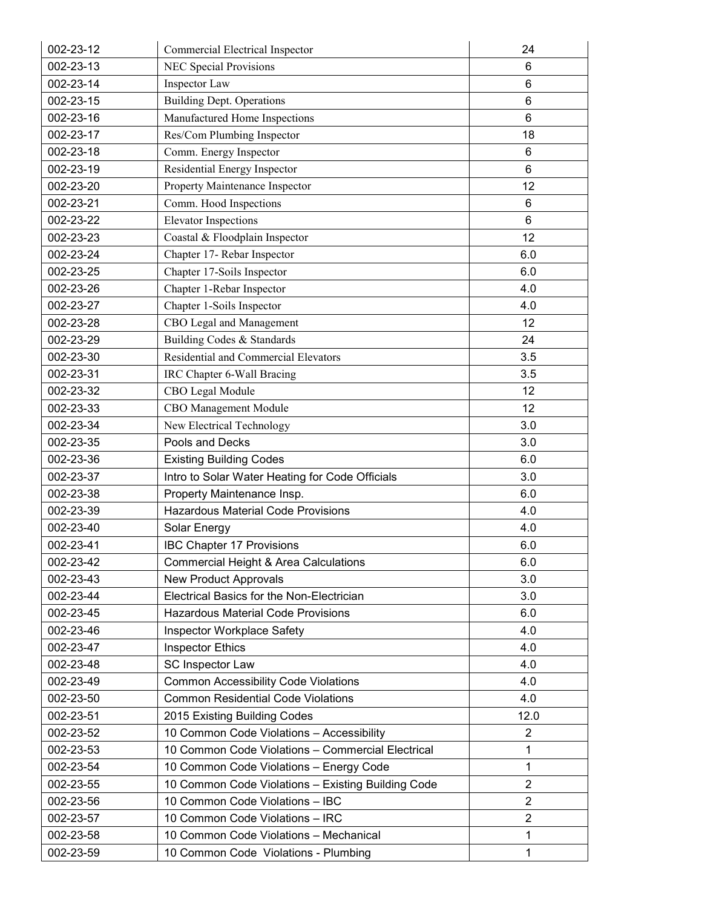| 002-23-12 | Commercial Electrical Inspector                    | 24              |
|-----------|----------------------------------------------------|-----------------|
| 002-23-13 | <b>NEC Special Provisions</b>                      | 6               |
| 002-23-14 | Inspector Law                                      | 6               |
| 002-23-15 | <b>Building Dept. Operations</b>                   | 6               |
| 002-23-16 | Manufactured Home Inspections                      | $6\phantom{1}6$ |
| 002-23-17 | Res/Com Plumbing Inspector                         | 18              |
| 002-23-18 | Comm. Energy Inspector                             | $6\phantom{1}6$ |
| 002-23-19 | Residential Energy Inspector                       | 6               |
| 002-23-20 | Property Maintenance Inspector                     | 12              |
| 002-23-21 | Comm. Hood Inspections                             | 6               |
| 002-23-22 | <b>Elevator Inspections</b>                        | $6\phantom{1}6$ |
| 002-23-23 | Coastal & Floodplain Inspector                     | 12              |
| 002-23-24 | Chapter 17- Rebar Inspector                        | 6.0             |
| 002-23-25 | Chapter 17-Soils Inspector                         | 6.0             |
| 002-23-26 | Chapter 1-Rebar Inspector                          | 4.0             |
| 002-23-27 | Chapter 1-Soils Inspector                          | 4.0             |
| 002-23-28 | CBO Legal and Management                           | 12              |
| 002-23-29 | Building Codes & Standards                         | 24              |
| 002-23-30 | Residential and Commercial Elevators               | 3.5             |
| 002-23-31 | IRC Chapter 6-Wall Bracing                         | 3.5             |
| 002-23-32 | CBO Legal Module                                   | 12              |
| 002-23-33 | CBO Management Module                              | 12              |
| 002-23-34 | New Electrical Technology                          | 3.0             |
| 002-23-35 | Pools and Decks                                    | 3.0             |
| 002-23-36 | <b>Existing Building Codes</b>                     | 6.0             |
| 002-23-37 | Intro to Solar Water Heating for Code Officials    | 3.0             |
| 002-23-38 | Property Maintenance Insp.                         | 6.0             |
| 002-23-39 | <b>Hazardous Material Code Provisions</b>          | 4.0             |
| 002-23-40 | Solar Energy                                       | 4.0             |
| 002-23-41 | <b>IBC Chapter 17 Provisions</b>                   | 6.0             |
| 002-23-42 | Commercial Height & Area Calculations              | 6.0             |
| 002-23-43 | <b>New Product Approvals</b>                       | 3.0             |
| 002-23-44 | Electrical Basics for the Non-Electrician          | 3.0             |
| 002-23-45 | <b>Hazardous Material Code Provisions</b>          | 6.0             |
| 002-23-46 | Inspector Workplace Safety                         | 4.0             |
| 002-23-47 | <b>Inspector Ethics</b>                            | 4.0             |
| 002-23-48 | SC Inspector Law                                   | 4.0             |
| 002-23-49 | <b>Common Accessibility Code Violations</b>        | 4.0             |
| 002-23-50 | <b>Common Residential Code Violations</b>          | 4.0             |
| 002-23-51 | 2015 Existing Building Codes                       | 12.0            |
| 002-23-52 | 10 Common Code Violations - Accessibility          | $\overline{2}$  |
| 002-23-53 | 10 Common Code Violations - Commercial Electrical  | $\mathbf 1$     |
| 002-23-54 | 10 Common Code Violations - Energy Code            | $\mathbf 1$     |
| 002-23-55 | 10 Common Code Violations - Existing Building Code | $\overline{2}$  |
| 002-23-56 | 10 Common Code Violations - IBC                    | $\overline{2}$  |
| 002-23-57 | 10 Common Code Violations - IRC                    | $\overline{2}$  |
| 002-23-58 | 10 Common Code Violations - Mechanical             | 1               |
| 002-23-59 | 10 Common Code Violations - Plumbing               | 1               |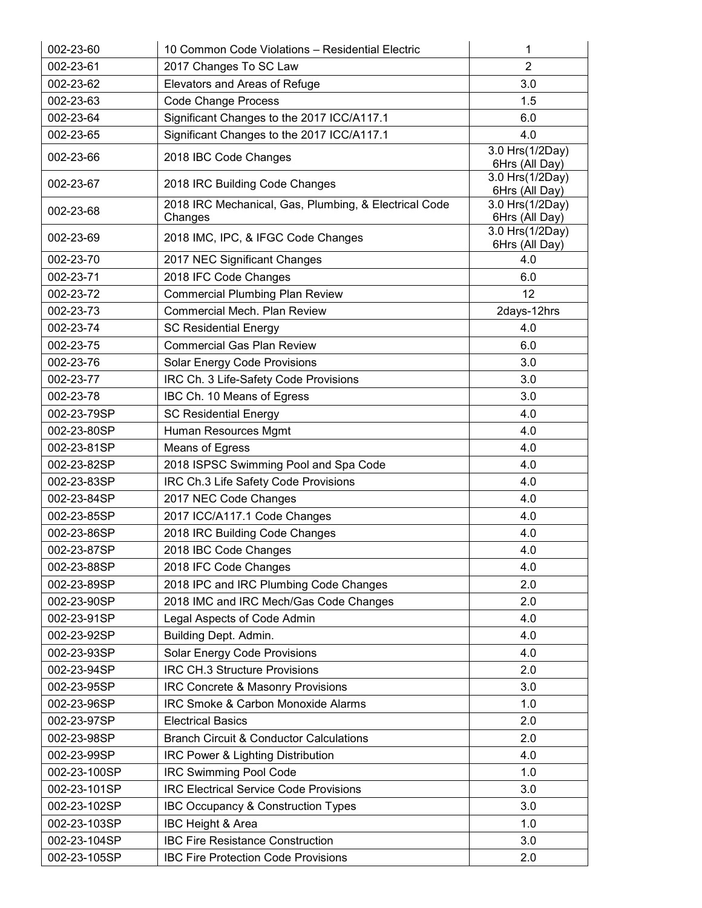| 002-23-60    | 10 Common Code Violations - Residential Electric                 | 1                                 |
|--------------|------------------------------------------------------------------|-----------------------------------|
| 002-23-61    | 2017 Changes To SC Law                                           | $\overline{2}$                    |
| 002-23-62    | Elevators and Areas of Refuge                                    | 3.0                               |
| 002-23-63    | <b>Code Change Process</b>                                       | 1.5                               |
| 002-23-64    | Significant Changes to the 2017 ICC/A117.1                       | 6.0                               |
| 002-23-65    | Significant Changes to the 2017 ICC/A117.1                       | 4.0                               |
| 002-23-66    | 2018 IBC Code Changes                                            | 3.0 Hrs(1/2Day)<br>6Hrs (All Day) |
| 002-23-67    | 2018 IRC Building Code Changes                                   | 3.0 Hrs(1/2Day)<br>6Hrs (All Day) |
| 002-23-68    | 2018 IRC Mechanical, Gas, Plumbing, & Electrical Code<br>Changes | 3.0 Hrs(1/2Day)<br>6Hrs (All Day) |
| 002-23-69    | 2018 IMC, IPC, & IFGC Code Changes                               | 3.0 Hrs(1/2Day)<br>6Hrs (All Day) |
| 002-23-70    | 2017 NEC Significant Changes                                     | 4.0                               |
| 002-23-71    | 2018 IFC Code Changes                                            | 6.0                               |
| 002-23-72    | <b>Commercial Plumbing Plan Review</b>                           | 12                                |
| 002-23-73    | Commercial Mech. Plan Review                                     | 2days-12hrs                       |
| 002-23-74    | <b>SC Residential Energy</b>                                     | 4.0                               |
| 002-23-75    | <b>Commercial Gas Plan Review</b>                                | 6.0                               |
| 002-23-76    | Solar Energy Code Provisions                                     | 3.0                               |
| 002-23-77    | IRC Ch. 3 Life-Safety Code Provisions                            | 3.0                               |
| 002-23-78    | IBC Ch. 10 Means of Egress                                       | 3.0                               |
| 002-23-79SP  | <b>SC Residential Energy</b>                                     | 4.0                               |
| 002-23-80SP  | Human Resources Mgmt                                             | 4.0                               |
| 002-23-81SP  | Means of Egress                                                  | 4.0                               |
| 002-23-82SP  | 2018 ISPSC Swimming Pool and Spa Code                            | 4.0                               |
| 002-23-83SP  | IRC Ch.3 Life Safety Code Provisions                             | 4.0                               |
| 002-23-84SP  | 2017 NEC Code Changes                                            | 4.0                               |
| 002-23-85SP  | 2017 ICC/A117.1 Code Changes                                     | 4.0                               |
| 002-23-86SP  | 2018 IRC Building Code Changes                                   | 4.0                               |
| 002-23-87SP  | 2018 IBC Code Changes                                            | 4.0                               |
| 002-23-88SP  | 2018 IFC Code Changes                                            | 4.0                               |
| 002-23-89SP  | 2018 IPC and IRC Plumbing Code Changes                           | 2.0                               |
| 002-23-90SP  | 2018 IMC and IRC Mech/Gas Code Changes                           | 2.0                               |
| 002-23-91SP  | Legal Aspects of Code Admin                                      | 4.0                               |
| 002-23-92SP  | Building Dept. Admin.                                            | 4.0                               |
| 002-23-93SP  | Solar Energy Code Provisions                                     | 4.0                               |
| 002-23-94SP  | IRC CH.3 Structure Provisions                                    | 2.0                               |
| 002-23-95SP  | IRC Concrete & Masonry Provisions                                | 3.0                               |
| 002-23-96SP  | IRC Smoke & Carbon Monoxide Alarms                               | 1.0                               |
| 002-23-97SP  | <b>Electrical Basics</b>                                         | 2.0                               |
| 002-23-98SP  | <b>Branch Circuit &amp; Conductor Calculations</b>               | 2.0                               |
| 002-23-99SP  | IRC Power & Lighting Distribution                                | 4.0                               |
| 002-23-100SP | <b>IRC Swimming Pool Code</b>                                    | 1.0                               |
| 002-23-101SP | <b>IRC Electrical Service Code Provisions</b>                    | 3.0                               |
| 002-23-102SP | IBC Occupancy & Construction Types                               | 3.0                               |
| 002-23-103SP | IBC Height & Area                                                | 1.0                               |
| 002-23-104SP | <b>IBC Fire Resistance Construction</b>                          | 3.0                               |
| 002-23-105SP | <b>IBC Fire Protection Code Provisions</b>                       | 2.0                               |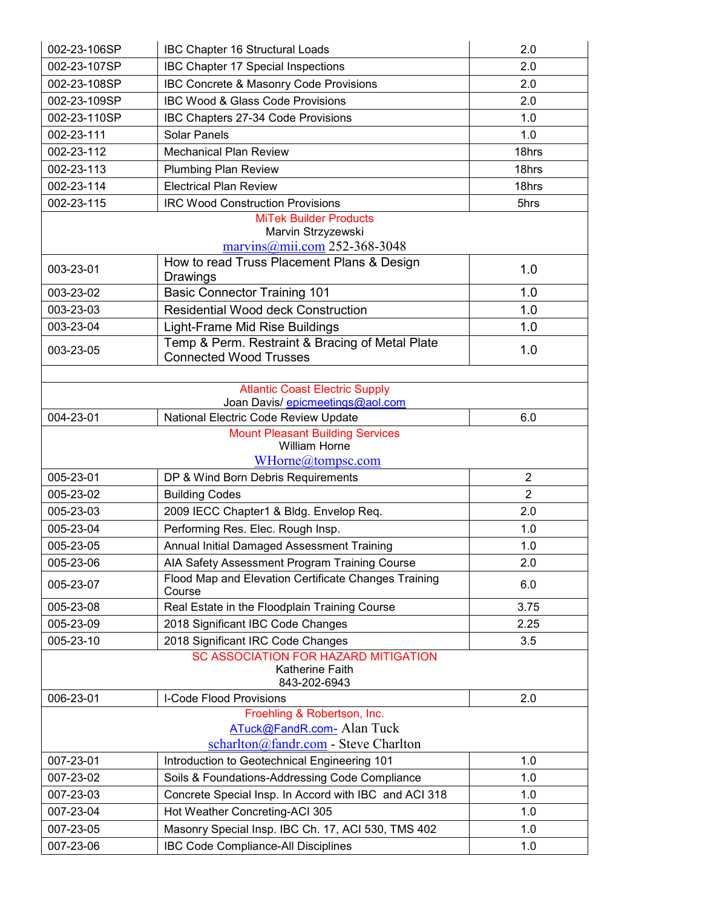| 002-23-106SP | <b>IBC Chapter 16 Structural Loads</b>                                           | 2.0            |
|--------------|----------------------------------------------------------------------------------|----------------|
| 002-23-107SP | IBC Chapter 17 Special Inspections                                               | 2.0            |
| 002-23-108SP | IBC Concrete & Masonry Code Provisions                                           | 2.0            |
| 002-23-109SP | IBC Wood & Glass Code Provisions                                                 | 2.0            |
| 002-23-110SP | IBC Chapters 27-34 Code Provisions                                               | 1.0            |
| 002-23-111   | <b>Solar Panels</b>                                                              | 1.0            |
| 002-23-112   | <b>Mechanical Plan Review</b>                                                    | 18hrs          |
| 002-23-113   | <b>Plumbing Plan Review</b>                                                      | 18hrs          |
| 002-23-114   | <b>Electrical Plan Review</b>                                                    | 18hrs          |
| 002-23-115   | <b>IRC Wood Construction Provisions</b>                                          | 5hrs           |
|              | <b>MiTek Builder Products</b>                                                    |                |
|              | Marvin Strzyzewski                                                               |                |
|              | $\frac{\text{maryins}(\hat{a})}{\text{mi.com}}$ 252-368-3048                     |                |
| 003-23-01    | How to read Truss Placement Plans & Design<br>Drawings                           | 1.0            |
| 003-23-02    | <b>Basic Connector Training 101</b>                                              | 1.0            |
| 003-23-03    | <b>Residential Wood deck Construction</b>                                        | 1.0            |
| 003-23-04    | Light-Frame Mid Rise Buildings                                                   | 1.0            |
| 003-23-05    | Temp & Perm. Restraint & Bracing of Metal Plate<br><b>Connected Wood Trusses</b> | 1.0            |
|              |                                                                                  |                |
|              | <b>Atlantic Coast Electric Supply</b>                                            |                |
|              | Joan Davis/ epicmeetings@aol.com                                                 |                |
| 004-23-01    | National Electric Code Review Update<br><b>Mount Pleasant Building Services</b>  | 6.0            |
|              | William Horne                                                                    |                |
|              | WHorne@tompsc.com                                                                |                |
| 005-23-01    | DP & Wind Born Debris Requirements                                               | $\overline{2}$ |
| 005-23-02    | <b>Building Codes</b>                                                            | $\overline{2}$ |
| 005-23-03    | 2009 IECC Chapter1 & Bldg. Envelop Req.                                          | 2.0            |
| 005-23-04    | Performing Res. Elec. Rough Insp.                                                | 1.0            |
| 005-23-05    | Annual Initial Damaged Assessment Training                                       | 1.0            |
| 005-23-06    | AIA Safety Assessment Program Training Course                                    | 2.0            |
| 005-23-07    | Flood Map and Elevation Certificate Changes Training<br>Course                   | 6.0            |
| 005-23-08    | Real Estate in the Floodplain Training Course                                    | 3.75           |
| 005-23-09    | 2018 Significant IBC Code Changes                                                | 2.25           |
| 005-23-10    | 2018 Significant IRC Code Changes                                                | 3.5            |
|              | SC ASSOCIATION FOR HAZARD MITIGATION                                             |                |
|              | Katherine Faith<br>843-202-6943                                                  |                |
| 006-23-01    | I-Code Flood Provisions                                                          | 2.0            |
|              | Froehling & Robertson, Inc.                                                      |                |
|              | ATuck@FandR.com- Alan Tuck                                                       |                |
|              | scharlton@fandr.com - Steve Charlton                                             |                |
| 007-23-01    | Introduction to Geotechnical Engineering 101                                     | 1.0            |
| 007-23-02    | Soils & Foundations-Addressing Code Compliance                                   | 1.0            |
| 007-23-03    | Concrete Special Insp. In Accord with IBC and ACI 318                            | 1.0            |
| 007-23-04    | Hot Weather Concreting-ACI 305                                                   | 1.0            |
| 007-23-05    | Masonry Special Insp. IBC Ch. 17, ACI 530, TMS 402                               | 1.0            |
| 007-23-06    | <b>IBC Code Compliance-All Disciplines</b>                                       | 1.0            |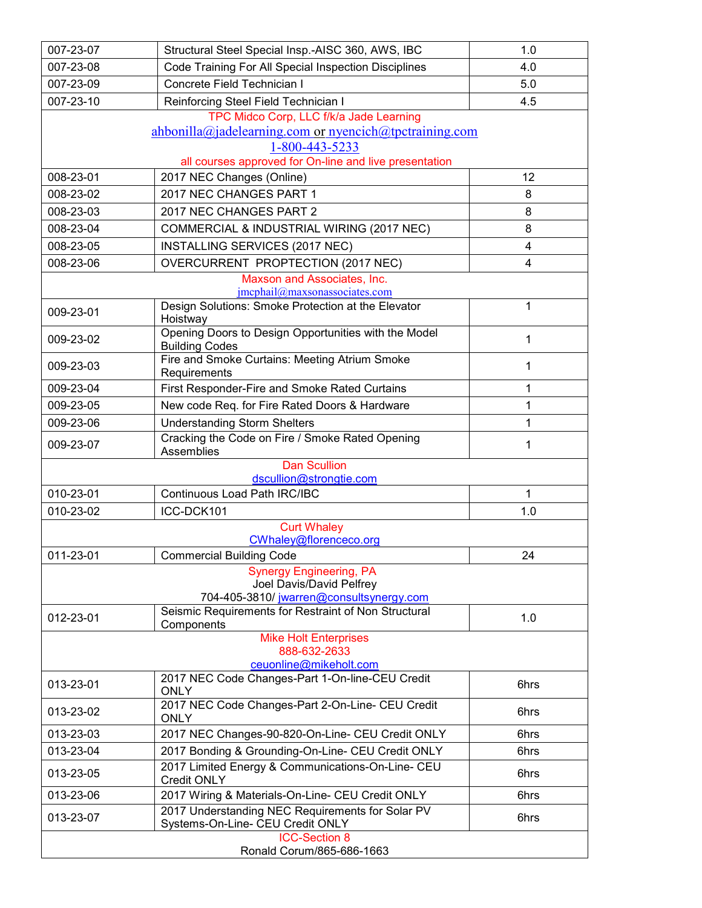| 007-23-07 | Structural Steel Special Insp.-AISC 360, AWS, IBC                                      | 1.0            |
|-----------|----------------------------------------------------------------------------------------|----------------|
| 007-23-08 | Code Training For All Special Inspection Disciplines                                   | 4.0            |
| 007-23-09 | Concrete Field Technician I                                                            | 5.0            |
| 007-23-10 | Reinforcing Steel Field Technician I                                                   | 4.5            |
|           | TPC Midco Corp, LLC f/k/a Jade Learning                                                |                |
|           | ahbonilla@jadelearning.com or nyencich@tpctraining.com                                 |                |
|           | 1-800-443-5233                                                                         |                |
|           | all courses approved for On-line and live presentation                                 |                |
| 008-23-01 | 2017 NEC Changes (Online)                                                              | 12             |
| 008-23-02 | 2017 NEC CHANGES PART 1                                                                | 8              |
| 008-23-03 | 2017 NEC CHANGES PART 2                                                                | 8              |
| 008-23-04 | COMMERCIAL & INDUSTRIAL WIRING (2017 NEC)                                              | 8              |
| 008-23-05 | INSTALLING SERVICES (2017 NEC)                                                         | $\overline{4}$ |
| 008-23-06 | OVERCURRENT PROPTECTION (2017 NEC)                                                     | $\overline{4}$ |
|           | Maxson and Associates, Inc.                                                            |                |
|           | $imcphail@maxson$ associates.com<br>Design Solutions: Smoke Protection at the Elevator | 1              |
| 009-23-01 | Hoistway                                                                               |                |
|           | Opening Doors to Design Opportunities with the Model                                   |                |
| 009-23-02 | <b>Building Codes</b>                                                                  | 1              |
| 009-23-03 | Fire and Smoke Curtains: Meeting Atrium Smoke                                          | 1              |
| 009-23-04 | Requirements<br>First Responder-Fire and Smoke Rated Curtains                          | 1              |
| 009-23-05 |                                                                                        | 1              |
|           | New code Req. for Fire Rated Doors & Hardware                                          |                |
| 009-23-06 | <b>Understanding Storm Shelters</b>                                                    | 1              |
| 009-23-07 | Cracking the Code on Fire / Smoke Rated Opening<br>Assemblies                          | 1              |
|           | <b>Dan Scullion</b>                                                                    |                |
|           | dscullion@strongtie.com                                                                |                |
| 010-23-01 | <b>Continuous Load Path IRC/IBC</b>                                                    | 1              |
| 010-23-02 | ICC-DCK101                                                                             | 1.0            |
|           | <b>Curt Whaley</b>                                                                     |                |
| 011-23-01 | CWhaley@florenceco.org                                                                 | 24             |
|           | <b>Commercial Building Code</b>                                                        |                |
|           | <b>Synergy Engineering, PA</b><br>Joel Davis/David Pelfrey                             |                |
|           | 704-405-3810/ jwarren@consultsynergy.com                                               |                |
| 012-23-01 | Seismic Requirements for Restraint of Non Structural                                   | 1.0            |
|           | Components                                                                             |                |
|           | <b>Mike Holt Enterprises</b><br>888-632-2633                                           |                |
|           | ceuonline@mikeholt.com                                                                 |                |
| 013-23-01 | 2017 NEC Code Changes-Part 1-On-line-CEU Credit<br><b>ONLY</b>                         | 6hrs           |
| 013-23-02 | 2017 NEC Code Changes-Part 2-On-Line- CEU Credit<br><b>ONLY</b>                        | 6hrs           |
| 013-23-03 | 2017 NEC Changes-90-820-On-Line- CEU Credit ONLY                                       | 6hrs           |
| 013-23-04 | 2017 Bonding & Grounding-On-Line- CEU Credit ONLY                                      | 6hrs           |
| 013-23-05 | 2017 Limited Energy & Communications-On-Line- CEU<br><b>Credit ONLY</b>                | 6hrs           |
| 013-23-06 | 2017 Wiring & Materials-On-Line- CEU Credit ONLY                                       | 6hrs           |
|           | 2017 Understanding NEC Requirements for Solar PV                                       |                |
| 013-23-07 | Systems-On-Line- CEU Credit ONLY                                                       | 6hrs           |
|           | <b>ICC-Section 8</b><br>Ronald Corum/865-686-1663                                      |                |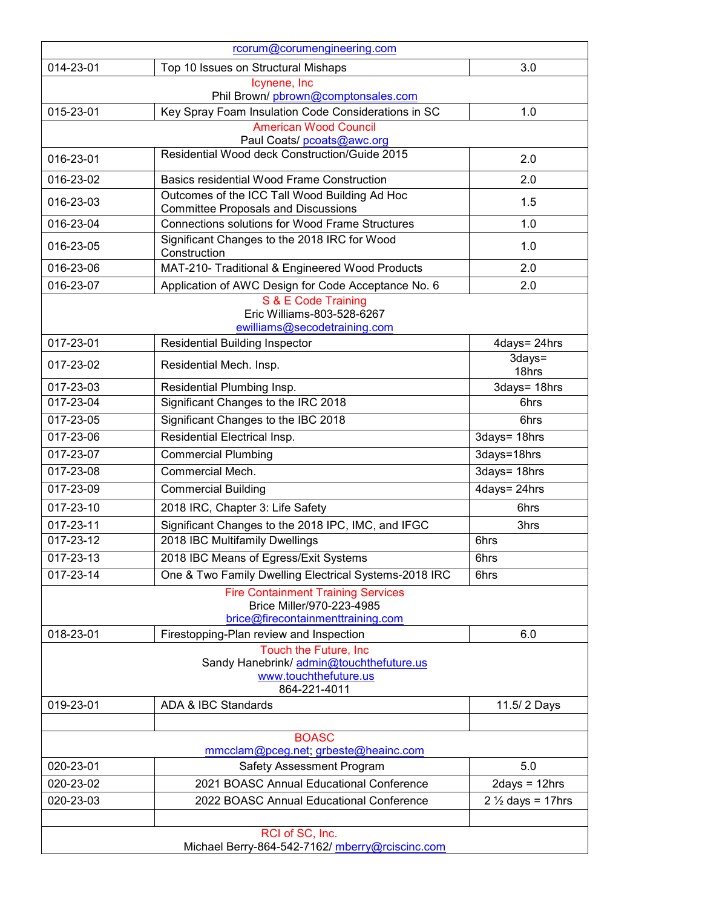|                 | rcorum@corumengineering.com                                                                                 |                             |
|-----------------|-------------------------------------------------------------------------------------------------------------|-----------------------------|
| 014-23-01       | Top 10 Issues on Structural Mishaps                                                                         | 3.0                         |
|                 | Icynene, Inc<br>Phil Brown/pbrown@comptonsales.com                                                          |                             |
| 015-23-01       | Key Spray Foam Insulation Code Considerations in SC                                                         | 1.0                         |
|                 | <b>American Wood Council</b>                                                                                |                             |
|                 | Paul Coats/ pcoats@awc.org                                                                                  |                             |
| 016-23-01       | Residential Wood deck Construction/Guide 2015                                                               | 2.0                         |
| 016-23-02       | <b>Basics residential Wood Frame Construction</b>                                                           | 2.0                         |
| 016-23-03       | Outcomes of the ICC Tall Wood Building Ad Hoc<br><b>Committee Proposals and Discussions</b>                 | 1.5                         |
| 016-23-04       | <b>Connections solutions for Wood Frame Structures</b>                                                      | 1.0                         |
| 016-23-05       | Significant Changes to the 2018 IRC for Wood<br>Construction                                                | 1.0                         |
| 016-23-06       | MAT-210- Traditional & Engineered Wood Products                                                             | 2.0                         |
| 016-23-07       | Application of AWC Design for Code Acceptance No. 6                                                         | 2.0                         |
|                 | S & E Code Training<br>Eric Williams-803-528-6267<br>ewilliams@secodetraining.com                           |                             |
| 017-23-01       | <b>Residential Building Inspector</b>                                                                       | 4days= 24hrs                |
| 017-23-02       | Residential Mech. Insp.                                                                                     | 3days=<br>18hrs             |
| 017-23-03       | Residential Plumbing Insp.                                                                                  | 3days= 18hrs                |
| 017-23-04       | Significant Changes to the IRC 2018                                                                         | 6hrs                        |
| 017-23-05       | Significant Changes to the IBC 2018                                                                         | 6hrs                        |
| 017-23-06       | Residential Electrical Insp.                                                                                | 3days= 18hrs                |
| 017-23-07       | <b>Commercial Plumbing</b>                                                                                  | 3days=18hrs                 |
| 017-23-08       | Commercial Mech.                                                                                            | 3days= 18hrs                |
| $017 - 23 - 09$ | <b>Commercial Building</b>                                                                                  | 4days= 24hrs                |
| 017-23-10       | 2018 IRC, Chapter 3: Life Safety                                                                            | 6hrs                        |
| 017-23-11       | Significant Changes to the 2018 IPC, IMC, and IFGC                                                          | 3hrs                        |
| 017-23-12       | 2018 IBC Multifamily Dwellings                                                                              | 6hrs                        |
| 017-23-13       | 2018 IBC Means of Egress/Exit Systems                                                                       | 6hrs                        |
| 017-23-14       | One & Two Family Dwelling Electrical Systems-2018 IRC                                                       | 6hrs                        |
|                 | <b>Fire Containment Training Services</b><br>Brice Miller/970-223-4985<br>brice@firecontainmenttraining.com |                             |
| 018-23-01       | Firestopping-Plan review and Inspection                                                                     | 6.0                         |
|                 | Touch the Future, Inc<br>Sandy Hanebrink/ admin@touchthefuture.us<br>www.touchthefuture.us<br>864-221-4011  |                             |
| 019-23-01       | ADA & IBC Standards                                                                                         | 11.5/ 2 Days                |
|                 |                                                                                                             |                             |
|                 | <b>BOASC</b><br>mmcclam@pceg.net; grbeste@heainc.com                                                        |                             |
| 020-23-01       | Safety Assessment Program                                                                                   | 5.0                         |
| 020-23-02       | 2021 BOASC Annual Educational Conference                                                                    | $2$ days = 12hrs            |
| 020-23-03       | 2022 BOASC Annual Educational Conference                                                                    | $2\frac{1}{2}$ days = 17hrs |
|                 | RCI of SC, Inc.<br>Michael Berry-864-542-7162/ mberry@rciscinc.com                                          |                             |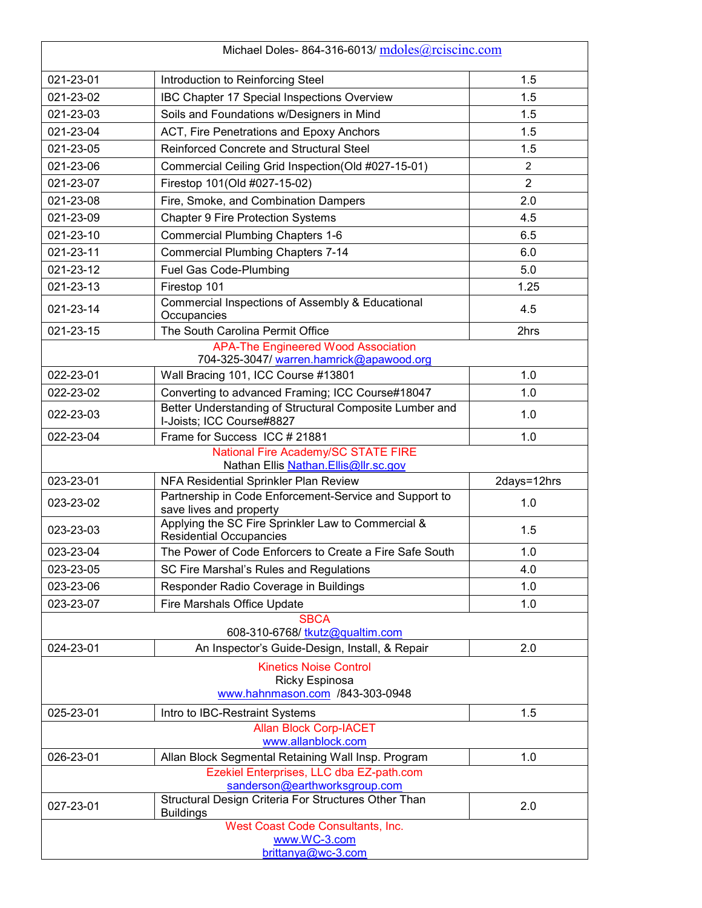|           | Michael Doles-864-316-6013/ mdoles@rciscinc.com                                           |                |
|-----------|-------------------------------------------------------------------------------------------|----------------|
| 021-23-01 | Introduction to Reinforcing Steel                                                         | 1.5            |
| 021-23-02 | IBC Chapter 17 Special Inspections Overview                                               | 1.5            |
| 021-23-03 | Soils and Foundations w/Designers in Mind                                                 | 1.5            |
| 021-23-04 | ACT, Fire Penetrations and Epoxy Anchors                                                  | 1.5            |
| 021-23-05 | Reinforced Concrete and Structural Steel                                                  | 1.5            |
| 021-23-06 | Commercial Ceiling Grid Inspection(Old #027-15-01)                                        | 2              |
| 021-23-07 | Firestop 101(Old #027-15-02)                                                              | $\overline{2}$ |
| 021-23-08 | Fire, Smoke, and Combination Dampers                                                      | 2.0            |
| 021-23-09 | <b>Chapter 9 Fire Protection Systems</b>                                                  | 4.5            |
| 021-23-10 | <b>Commercial Plumbing Chapters 1-6</b>                                                   | 6.5            |
| 021-23-11 | <b>Commercial Plumbing Chapters 7-14</b>                                                  | 6.0            |
| 021-23-12 | Fuel Gas Code-Plumbing                                                                    | 5.0            |
| 021-23-13 | Firestop 101                                                                              | 1.25           |
| 021-23-14 | Commercial Inspections of Assembly & Educational<br>Occupancies                           | 4.5            |
| 021-23-15 | The South Carolina Permit Office                                                          | 2hrs           |
|           | <b>APA-The Engineered Wood Association</b><br>704-325-3047/ warren.hamrick@apawood.org    |                |
| 022-23-01 | Wall Bracing 101, ICC Course #13801                                                       | 1.0            |
| 022-23-02 | Converting to advanced Framing; ICC Course#18047                                          | 1.0            |
| 022-23-03 | Better Understanding of Structural Composite Lumber and<br>I-Joists; ICC Course#8827      | 1.0            |
| 022-23-04 | Frame for Success ICC # 21881                                                             | 1.0            |
|           | National Fire Academy/SC STATE FIRE<br>Nathan Ellis Nathan.Ellis@llr.sc.gov               |                |
| 023-23-01 | NFA Residential Sprinkler Plan Review                                                     | 2days=12hrs    |
| 023-23-02 | Partnership in Code Enforcement-Service and Support to<br>save lives and property         | 1.0            |
| 023-23-03 | Applying the SC Fire Sprinkler Law to Commercial &<br><b>Residential Occupancies</b>      | 1.5            |
| 023-23-04 | The Power of Code Enforcers to Create a Fire Safe South                                   | 1.0            |
| 023-23-05 | SC Fire Marshal's Rules and Regulations                                                   | 4.0            |
| 023-23-06 | Responder Radio Coverage in Buildings                                                     | 1.0            |
| 023-23-07 | Fire Marshals Office Update                                                               | 1.0            |
|           | <b>SBCA</b><br>608-310-6768/ tkutz@qualtim.com                                            |                |
| 024-23-01 | An Inspector's Guide-Design, Install, & Repair                                            | 2.0            |
|           | <b>Kinetics Noise Control</b><br><b>Ricky Espinosa</b><br>www.hahnmason.com /843-303-0948 |                |
| 025-23-01 | Intro to IBC-Restraint Systems                                                            | 1.5            |
|           | <b>Allan Block Corp-IACET</b><br>www.allanblock.com                                       |                |
| 026-23-01 | Allan Block Segmental Retaining Wall Insp. Program                                        | 1.0            |
|           | Ezekiel Enterprises, LLC dba EZ-path.com<br>sanderson@earthworksgroup.com                 |                |
| 027-23-01 | Structural Design Criteria For Structures Other Than<br><b>Buildings</b>                  | 2.0            |
|           | West Coast Code Consultants, Inc.<br>www.WC-3.com<br>brittanya@wc-3.com                   |                |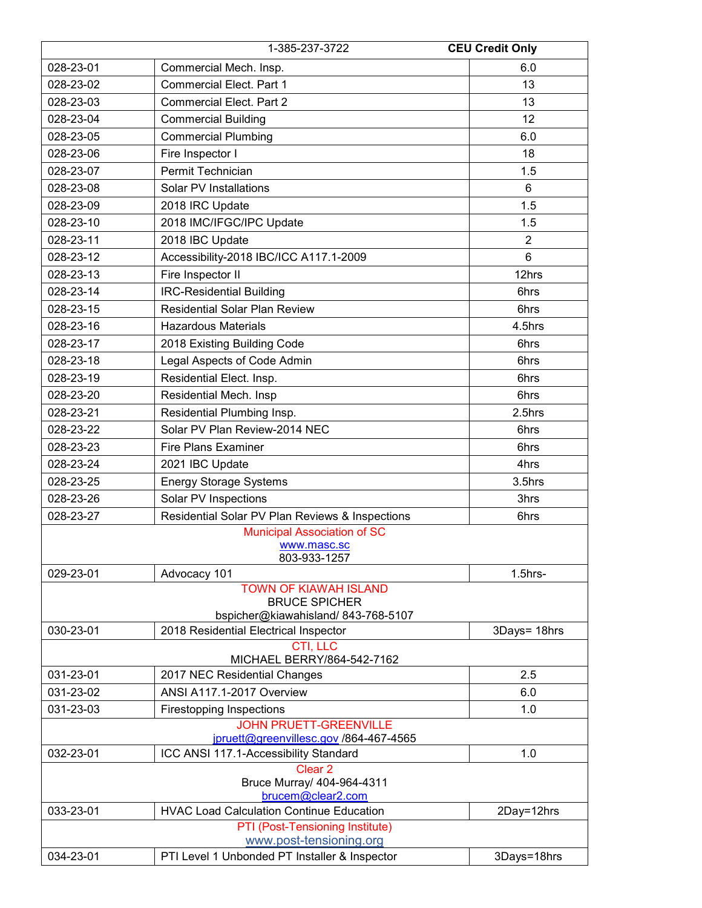|           | 1-385-237-3722                                                                             | <b>CEU Credit Only</b> |
|-----------|--------------------------------------------------------------------------------------------|------------------------|
| 028-23-01 | Commercial Mech. Insp.                                                                     | 6.0                    |
| 028-23-02 | <b>Commercial Elect. Part 1</b>                                                            | 13                     |
| 028-23-03 | <b>Commercial Elect. Part 2</b>                                                            | 13                     |
| 028-23-04 | <b>Commercial Building</b>                                                                 | 12                     |
| 028-23-05 | <b>Commercial Plumbing</b>                                                                 | 6.0                    |
| 028-23-06 | Fire Inspector I                                                                           | 18                     |
| 028-23-07 | Permit Technician                                                                          | 1.5                    |
| 028-23-08 | <b>Solar PV Installations</b>                                                              | 6                      |
| 028-23-09 | 2018 IRC Update                                                                            | 1.5                    |
| 028-23-10 | 2018 IMC/IFGC/IPC Update                                                                   | 1.5                    |
| 028-23-11 | 2018 IBC Update                                                                            | $\overline{2}$         |
| 028-23-12 | Accessibility-2018 IBC/ICC A117.1-2009                                                     | $6\phantom{1}6$        |
| 028-23-13 | Fire Inspector II                                                                          | 12hrs                  |
| 028-23-14 | <b>IRC-Residential Building</b>                                                            | 6hrs                   |
| 028-23-15 | <b>Residential Solar Plan Review</b>                                                       | 6hrs                   |
| 028-23-16 | <b>Hazardous Materials</b>                                                                 | 4.5hrs                 |
| 028-23-17 | 2018 Existing Building Code                                                                | 6hrs                   |
| 028-23-18 | Legal Aspects of Code Admin                                                                | 6hrs                   |
| 028-23-19 | Residential Elect. Insp.                                                                   | 6hrs                   |
| 028-23-20 | Residential Mech. Insp                                                                     | 6hrs                   |
| 028-23-21 | Residential Plumbing Insp.                                                                 | 2.5hrs                 |
| 028-23-22 | Solar PV Plan Review-2014 NEC                                                              | 6hrs                   |
| 028-23-23 | <b>Fire Plans Examiner</b>                                                                 | 6hrs                   |
| 028-23-24 | 2021 IBC Update                                                                            | 4hrs                   |
| 028-23-25 | <b>Energy Storage Systems</b>                                                              | 3.5hrs                 |
| 028-23-26 | Solar PV Inspections                                                                       | 3hrs                   |
| 028-23-27 | Residential Solar PV Plan Reviews & Inspections                                            | 6hrs                   |
|           | <b>Municipal Association of SC</b><br>www.masc.sc<br>803-933-1257                          |                        |
| 029-23-01 | Advocacy 101                                                                               | $1.5$ hrs-             |
|           | <b>TOWN OF KIAWAH ISLAND</b><br><b>BRUCE SPICHER</b><br>bspicher@kiawahisland/843-768-5107 |                        |
| 030-23-01 | 2018 Residential Electrical Inspector                                                      | 3Days= 18hrs           |
|           | CTI, LLC<br>MICHAEL BERRY/864-542-7162                                                     |                        |
| 031-23-01 | 2017 NEC Residential Changes                                                               | 2.5                    |
| 031-23-02 | ANSI A117.1-2017 Overview                                                                  | 6.0                    |
| 031-23-03 | <b>Firestopping Inspections</b>                                                            | 1.0                    |
|           | <b>JOHN PRUETT-GREENVILLE</b>                                                              |                        |
| 032-23-01 | jpruett@greenvillesc.gov /864-467-4565<br>ICC ANSI 117.1-Accessibility Standard            | 1.0                    |
|           | Clear <sub>2</sub><br>Bruce Murray/ 404-964-4311                                           |                        |
|           | brucem@clear2.com                                                                          |                        |
| 033-23-01 | <b>HVAC Load Calculation Continue Education</b>                                            | 2Day=12hrs             |
|           | PTI (Post-Tensioning Institute)<br>www.post-tensioning.org                                 |                        |
| 034-23-01 | PTI Level 1 Unbonded PT Installer & Inspector                                              | 3Days=18hrs            |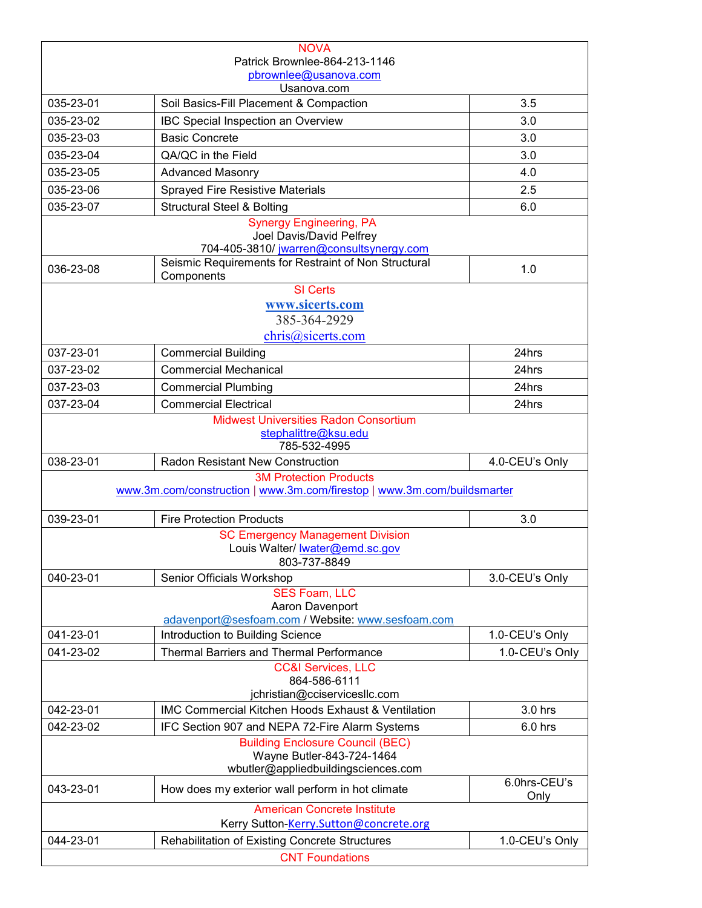|           | <b>NOVA</b>                                                                                                 |                      |
|-----------|-------------------------------------------------------------------------------------------------------------|----------------------|
|           | Patrick Brownlee-864-213-1146                                                                               |                      |
|           | pbrownlee@usanova.com<br>Usanova.com                                                                        |                      |
| 035-23-01 | Soil Basics-Fill Placement & Compaction                                                                     | 3.5                  |
| 035-23-02 | IBC Special Inspection an Overview                                                                          | 3.0                  |
| 035-23-03 | <b>Basic Concrete</b>                                                                                       | 3.0                  |
| 035-23-04 | QA/QC in the Field                                                                                          | 3.0                  |
| 035-23-05 | <b>Advanced Masonry</b>                                                                                     | 4.0                  |
| 035-23-06 | Sprayed Fire Resistive Materials                                                                            | 2.5                  |
| 035-23-07 | <b>Structural Steel &amp; Bolting</b>                                                                       | 6.0                  |
|           | <b>Synergy Engineering, PA</b><br>Joel Davis/David Pelfrey<br>704-405-3810/ jwarren@consultsynergy.com      |                      |
| 036-23-08 | Seismic Requirements for Restraint of Non Structural<br>Components                                          | 1.0                  |
|           | <b>SI</b> Certs<br>www.sicerts.com<br>385-364-2929<br>chris@sicerts.com                                     |                      |
| 037-23-01 | <b>Commercial Building</b>                                                                                  | 24hrs                |
| 037-23-02 | <b>Commercial Mechanical</b>                                                                                | 24hrs                |
| 037-23-03 | <b>Commercial Plumbing</b>                                                                                  | 24hrs                |
| 037-23-04 | <b>Commercial Electrical</b>                                                                                | 24hrs                |
|           | <b>Midwest Universities Radon Consortium</b><br>stephalittre@ksu.edu<br>785-532-4995                        |                      |
|           |                                                                                                             |                      |
| 038-23-01 | <b>Radon Resistant New Construction</b>                                                                     | 4.0-CEU's Only       |
|           | <b>3M Protection Products</b><br>www.3m.com/construction   www.3m.com/firestop   www.3m.com/buildsmarter    |                      |
| 039-23-01 | <b>Fire Protection Products</b>                                                                             | 3.0                  |
|           | <b>SC Emergency Management Division</b><br>Louis Walter/ lwater@emd.sc.gov<br>803-737-8849                  |                      |
| 040-23-01 | Senior Officials Workshop                                                                                   | 3.0-CEU's Only       |
|           | <b>SES Foam, LLC</b><br>Aaron Davenport                                                                     |                      |
|           | adavenport@sesfoam.com / Website: www.sesfoam.com                                                           |                      |
| 041-23-01 | Introduction to Building Science                                                                            | 1.0-CEU's Only       |
| 041-23-02 | <b>Thermal Barriers and Thermal Performance</b><br><b>CC&amp;I Services, LLC</b><br>864-586-6111            | 1.0-CEU's Only       |
| 042-23-01 | jchristian@cciservicesllc.com<br><b>IMC Commercial Kitchen Hoods Exhaust &amp; Ventilation</b>              | 3.0 hrs              |
| 042-23-02 | IFC Section 907 and NEPA 72-Fire Alarm Systems                                                              | $6.0$ hrs            |
|           | <b>Building Enclosure Council (BEC)</b><br>Wayne Butler-843-724-1464<br>wbutler@appliedbuildingsciences.com |                      |
| 043-23-01 | How does my exterior wall perform in hot climate                                                            | 6.0hrs-CEU's<br>Only |
|           | <b>American Concrete Institute</b><br>Kerry Sutton-Kerry.Sutton@concrete.org                                |                      |
| 044-23-01 | <b>Rehabilitation of Existing Concrete Structures</b>                                                       | 1.0-CEU's Only       |